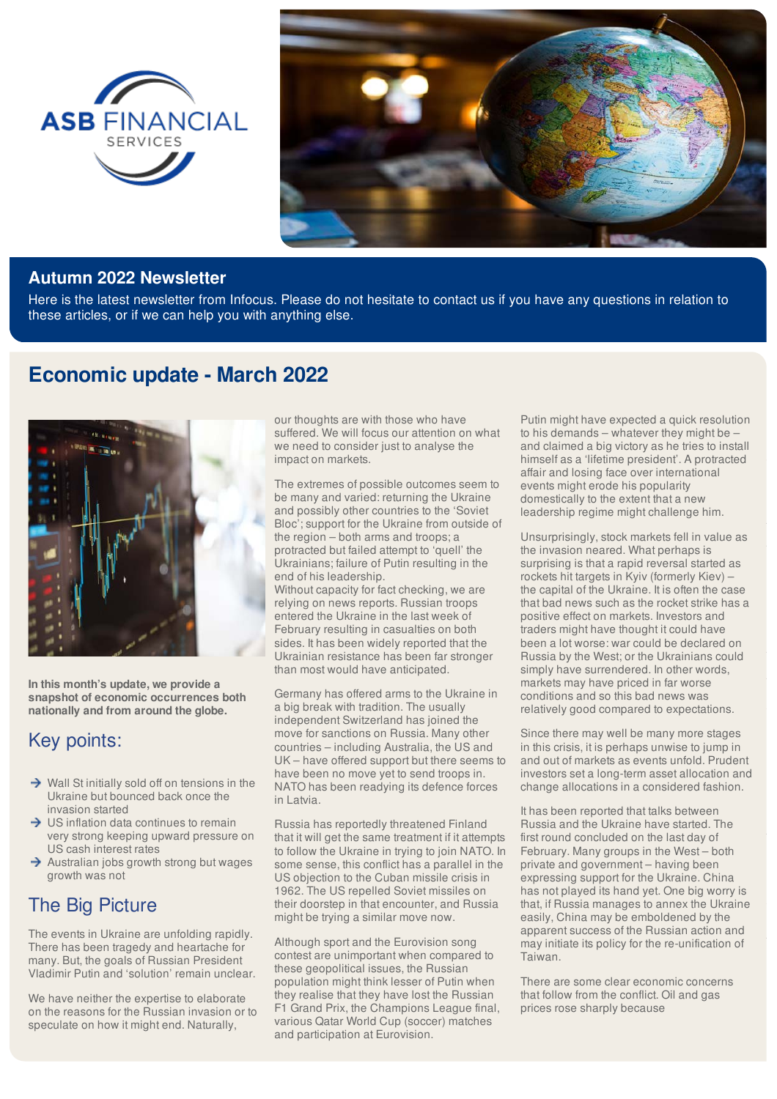



#### **Autumn 2022 Newsletter**

Here is the latest newsletter from Infocus. Please do not hesitate to contact us if you have any questions in relation to these articles, or if we can help you with anything else.

# **Economic update - March 2022**



**In this month's update, we provide a snapshot of economic occurrences both nationally and from around the globe.** 

## Key points:

- $\rightarrow$  Wall St initially sold off on tensions in the Ukraine but bounced back once the invasion started
- $\rightarrow$  US inflation data continues to remain very strong keeping upward pressure on US cash interest rates
- $\rightarrow$  Australian jobs growth strong but wages growth was not

# The Big Picture

The events in Ukraine are unfolding rapidly. There has been tragedy and heartache for many. But, the goals of Russian President Vladimir Putin and 'solution' remain unclear.

We have neither the expertise to elaborate on the reasons for the Russian invasion or to speculate on how it might end. Naturally,

our thoughts are with those who have suffered. We will focus our attention on what we need to consider just to analyse the impact on markets.

The extremes of possible outcomes seem to be many and varied: returning the Ukraine and possibly other countries to the 'Soviet Bloc'; support for the Ukraine from outside of the region – both arms and troops; a protracted but failed attempt to 'quell' the Ukrainians; failure of Putin resulting in the end of his leadership.

Without capacity for fact checking, we are relying on news reports. Russian troops entered the Ukraine in the last week of February resulting in casualties on both sides. It has been widely reported that the Ukrainian resistance has been far stronger than most would have anticipated.

Germany has offered arms to the Ukraine in a big break with tradition. The usually independent Switzerland has joined the move for sanctions on Russia. Many other countries – including Australia, the US and UK – have offered support but there seems to have been no move yet to send troops in. NATO has been readying its defence forces in Latvia.

Russia has reportedly threatened Finland that it will get the same treatment if it attempts to follow the Ukraine in trying to join NATO. In some sense, this conflict has a parallel in the US objection to the Cuban missile crisis in 1962. The US repelled Soviet missiles on their doorstep in that encounter, and Russia might be trying a similar move now.

Although sport and the Eurovision song contest are unimportant when compared to these geopolitical issues, the Russian population might think lesser of Putin when they realise that they have lost the Russian F1 Grand Prix, the Champions League final, various Qatar World Cup (soccer) matches and participation at Eurovision.

Putin might have expected a quick resolution to his demands – whatever they might be – and claimed a big victory as he tries to install himself as a 'lifetime president'. A protracted affair and losing face over international events might erode his popularity domestically to the extent that a new leadership regime might challenge him.

Unsurprisingly, stock markets fell in value as the invasion neared. What perhaps is surprising is that a rapid reversal started as rockets hit targets in Kyiv (formerly Kiev) – the capital of the Ukraine. It is often the case that bad news such as the rocket strike has a positive effect on markets. Investors and traders might have thought it could have been a lot worse: war could be declared on Russia by the West; or the Ukrainians could simply have surrendered. In other words, markets may have priced in far worse conditions and so this bad news was relatively good compared to expectations.

Since there may well be many more stages in this crisis, it is perhaps unwise to jump in and out of markets as events unfold. Prudent investors set a long-term asset allocation and change allocations in a considered fashion.

It has been reported that talks between Russia and the Ukraine have started. The first round concluded on the last day of February. Many groups in the West – both private and government – having been expressing support for the Ukraine. China has not played its hand yet. One big worry is that, if Russia manages to annex the Ukraine easily, China may be emboldened by the apparent success of the Russian action and may initiate its policy for the re-unification of Taiwan.

There are some clear economic concerns that follow from the conflict. Oil and gas prices rose sharply because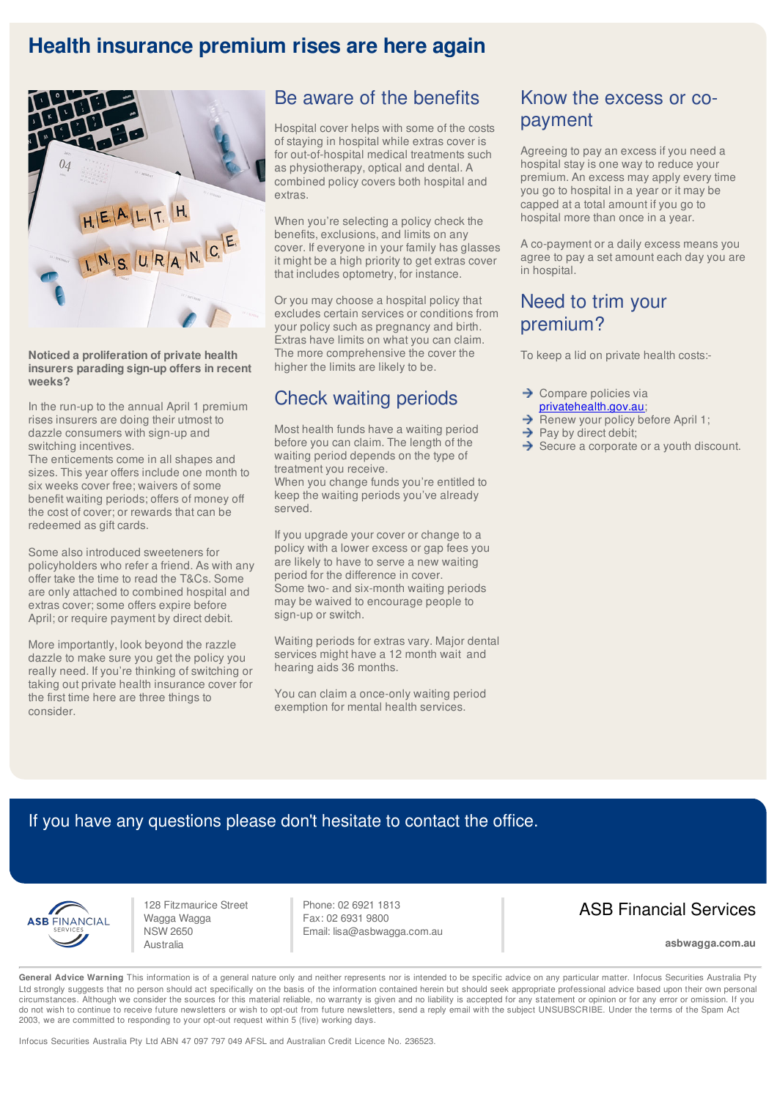# **Health insurance premium rises are here again**



**Noticed a proliferation of private health insurers parading sign-up offers in recent weeks?**

In the run-up to the annual April 1 premium rises insurers are doing their utmost to dazzle consumers with sign-up and switching incentives.

The enticements come in all shapes and sizes. This year offers include one month to six weeks cover free; waivers of some benefit waiting periods; offers of money off the cost of cover; or rewards that can be redeemed as gift cards.

Some also introduced sweeteners for policyholders who refer a friend. As with any offer take the time to read the T&Cs. Some are only attached to combined hospital and extras cover; some offers expire before April; or require payment by direct debit.

More importantly, look beyond the razzle dazzle to make sure you get the policy you really need. If you're thinking of switching or taking out private health insurance cover for the first time here are three things to consider.

### Be aware of the benefits

Hospital cover helps with some of the costs of staying in hospital while extras cover is for out-of-hospital medical treatments such as physiotherapy, optical and dental. A combined policy covers both hospital and extras.

When you're selecting a policy check the benefits, exclusions, and limits on any cover. If everyone in your family has glasses it might be a high priority to get extras cover that includes optometry, for instance.

Or you may choose a hospital policy that excludes certain services or conditions from your policy such as pregnancy and birth. Extras have limits on what you can claim. The more comprehensive the cover the higher the limits are likely to be.

## Check waiting periods

Most health funds have a waiting period before you can claim. The length of the waiting period depends on the type of treatment you receive.

When you change funds you're entitled to keep the waiting periods you've already served.

If you upgrade your cover or change to a policy with a lower excess or gap fees you are likely to have to serve a new waiting period for the difference in cover. Some two- and six-month waiting periods may be waived to encourage people to sign-up or switch.

Waiting periods for extras vary. Major dental services might have a 12 month wait and hearing aids 36 months.

You can claim a once-only waiting period exemption for mental health services.

## Know the excess or copayment

Agreeing to pay an excess if you need a hospital stay is one way to reduce your premium. An excess may apply every time you go to hospital in a year or it may be capped at a total amount if you go to hospital more than once in a year.

A co-payment or a daily excess means you agree to pay a set amount each day you are in hospital.

## Need to trim your premium?

To keep a lid on private health costs:-

- $\rightarrow$  Compare policies via privatehealth.gov.au;
- → Renew your policy before April 1;
- $\rightarrow$  Pay by direct debit;
- $\rightarrow$  Secure a corporate or a youth discount.

#### If you have any questions please don't hesitate to contact the office.



128 Fitzmaurice Street Wagga Wagga NSW 2650 Australia

Phone: 02 6921 1813 Fax: 02 6931 9800 Email: lisa@asbwagga.com.au

#### ASB Financial Services

**asbwagga.com.au**

General Advice Warning This information is of a general nature only and neither represents nor is intended to be specific advice on any particular matter. Infocus Securities Australia Pty Ltd strongly suggests that no person should act specifically on the basis of the information contained herein but should seek appropriate professional advice based upon their own personal circumstances. Although we consider the sources for this material reliable, no warranty is given and no liability is accepted for any statement or opinion or for any error or omission. If you do not wish to continue to receive future newsletters or wish to opt-out from future newsletters, send a reply email with the subject UNSUBSCRIBE. Under the terms of the Spam Act 2003, we are committed to responding to your opt-out request within 5 (five) working days.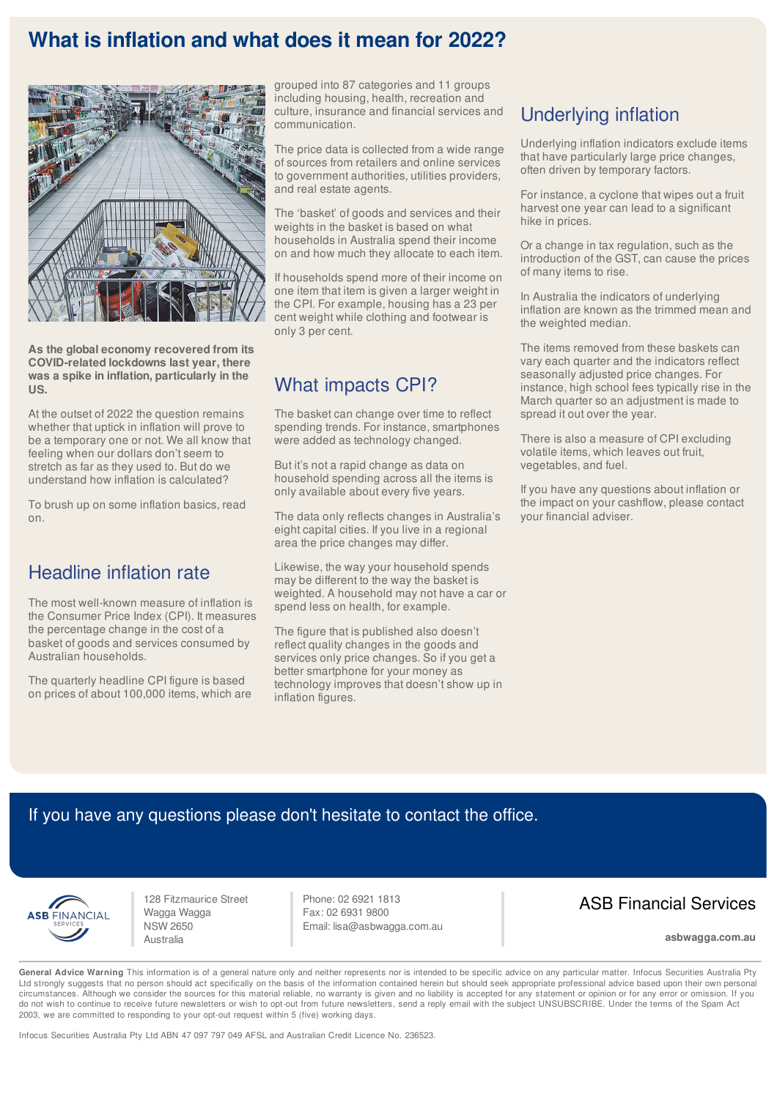## **What is inflation and what does it mean for 2022?**



**As the global economy recovered from its COVID-related lockdowns last year, there was a spike in inflation, particularly in the US.**

At the outset of 2022 the question remains whether that uptick in inflation will prove to be a temporary one or not. We all know that feeling when our dollars don't seem to stretch as far as they used to. But do we understand how inflation is calculated?

To brush up on some inflation basics, read on.

## Headline inflation rate

The most well-known measure of inflation is the Consumer Price Index (CPI). It measures the percentage change in the cost of a basket of goods and services consumed by Australian households.

The quarterly headline CPI figure is based on prices of about 100,000 items, which are grouped into 87 categories and 11 groups including housing, health, recreation and culture, insurance and financial services and communication.

The price data is collected from a wide range of sources from retailers and online services to government authorities, utilities providers, and real estate agents.

The 'basket' of goods and services and their weights in the basket is based on what households in Australia spend their income on and how much they allocate to each item.

If households spend more of their income on one item that item is given a larger weight in the CPI. For example, housing has a 23 per cent weight while clothing and footwear is only 3 per cent.

## What impacts CPI?

The basket can change over time to reflect spending trends. For instance, smartphones were added as technology changed.

But it's not a rapid change as data on household spending across all the items is only available about every five years.

The data only reflects changes in Australia's eight capital cities. If you live in a regional area the price changes may differ.

Likewise, the way your household spends may be different to the way the basket is weighted. A household may not have a car or spend less on health, for example.

The figure that is published also doesn't reflect quality changes in the goods and services only price changes. So if you get a better smartphone for your money as technology improves that doesn't show up in inflation figures.

# Underlying inflation

Underlying inflation indicators exclude items that have particularly large price changes, often driven by temporary factors.

For instance, a cyclone that wipes out a fruit harvest one year can lead to a significant hike in prices.

Or a change in tax regulation, such as the introduction of the GST, can cause the prices of many items to rise.

In Australia the indicators of underlying inflation are known as the trimmed mean and the weighted median.

The items removed from these baskets can vary each quarter and the indicators reflect seasonally adjusted price changes. For instance, high school fees typically rise in the March quarter so an adjustment is made to spread it out over the year.

There is also a measure of CPI excluding volatile items, which leaves out fruit, vegetables, and fuel.

If you have any questions about inflation or the impact on your cashflow, please contact your financial adviser.

## If you have any questions please don't hesitate to contact the office.



128 Fitzmaurice Street Wagga Wagga NSW 2650 Australia

Phone: 02 6921 1813 Fax: 02 6931 9800 Email: lisa@asbwagga.com.au

## ASB Financial Services

**asbwagga.com.au**

General Advice Warning This information is of a general nature only and neither represents nor is intended to be specific advice on any particular matter. Infocus Securities Australia Pty Ltd strongly suggests that no person should act specifically on the basis of the information contained herein but should seek appropriate professional advice based upon their own personal circumstances. Although we consider the sources for this material reliable, no warranty is given and no liability is accepted for any statement or opinion or for any error or omission. If you<br>do not wish to continue to rec 2003, we are committed to responding to your opt-out request within 5 (five) working days.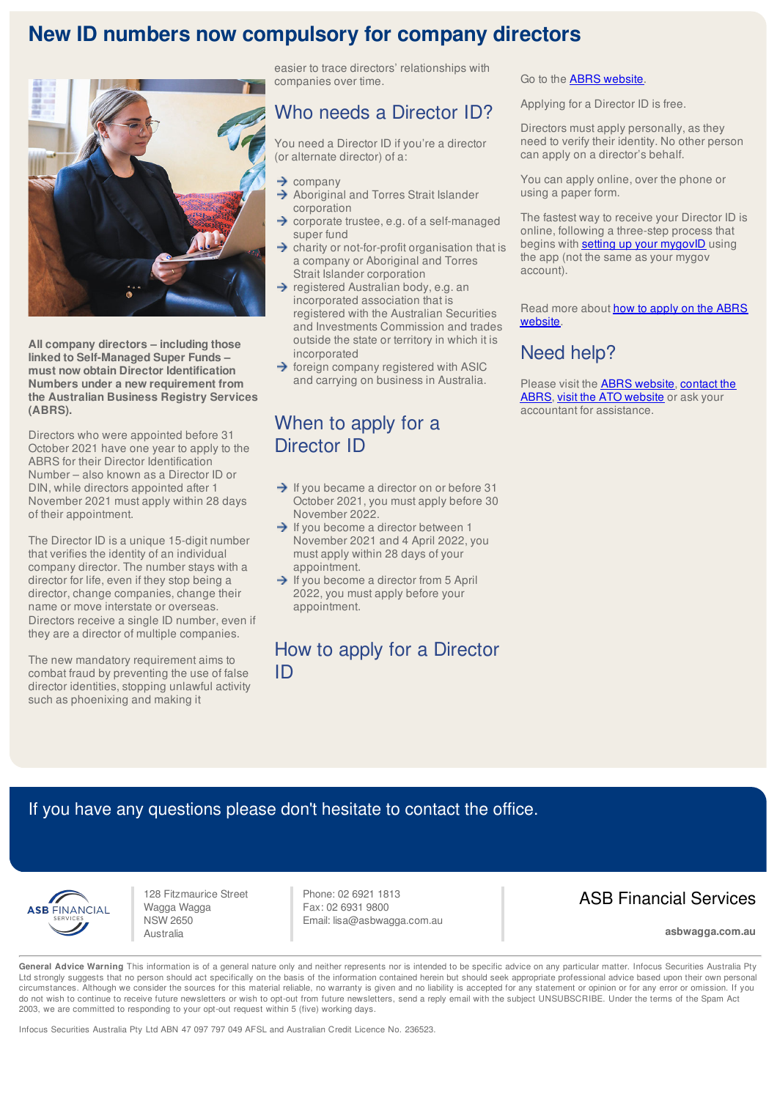# **New ID numbers now compulsory for company directors**



**All company directors – including those linked to Self-Managed Super Funds – must now obtain Director Identification Numbers under a new requirement from the Australian Business Registry Services (ABRS).**

Directors who were appointed before 31 October 2021 have one year to apply to the ABRS for their Director Identification Number – also known as a Director ID or DIN, while directors appointed after 1 November 2021 must apply within 28 days of their appointment.

The Director ID is a unique 15-digit number that verifies the identity of an individual company director. The number stays with a director for life, even if they stop being a director, change companies, change their name or move interstate or overseas. Directors receive a single ID number, even if they are a director of multiple companies.

The new mandatory requirement aims to combat fraud by preventing the use of false director identities, stopping unlawful activity such as phoenixing and making it

easier to trace directors' relationships with companies over time.

#### Who needs a Director ID?

You need a Director ID if you're a director (or alternate director) of a:

- $\rightarrow$  company
- Aboriginal and Torres Strait Islander corporation
- → corporate trustee, e.g. of a self-managed super fund
- $\rightarrow$  charity or not-for-profit organisation that is a company or Aboriginal and Torres Strait Islander corporation
- $\rightarrow$  registered Australian body, e.g. an incorporated association that is registered with the Australian Securities and Investments Commission and trades outside the state or territory in which it is incorporated
- $\rightarrow$  foreign company registered with ASIC and carrying on business in Australia.

#### When to apply for a Director ID

- $\rightarrow$  If you became a director on or before 31 October 2021, you must apply before 30 November 2022.
- $\rightarrow$  If you become a director between 1 November 2021 and 4 April 2022, you must apply within 28 days of your appointment.
- $\rightarrow$  If you become a director from 5 April 2022, you must apply before your appointment.

### How to apply for a Director ID

Go to the **ABRS website**.

Applying for a Director ID is free.

Directors must apply personally, as they need to verify their identity. No other person can apply on a director's behalf.

You can apply online, over the phone or using a paper form.

The fastest way to receive your Director ID is online, following a three-step process that begins with **setting up your mygovID** using the app (not the same as your mygov account).

Read more about how to apply on the ABRS website.

#### Need help?

Please visit the **ABRS website**, contact the ABRS, visit the ATO website or a[sk your](https://www.abrs.gov.au/director-identification-number/apply-director-identification-number) accountant for assistance.

## If you have any questions please don't hesitate to contact the office.



128 Fitzmaurice Street Wagga Wagga NSW 2650 Australia

Phone: 02 6921 1813 Fax: 02 6931 9800 Email: lisa@asbwagga.com.au

## ASB Financial Services

**asbwagga.com.au**

General Advice Warning This information is of a general nature only and neither represents nor is intended to be specific advice on any particular matter. Infocus Securities Australia Pty Ltd strongly suggests that no person should act specifically on the basis of the information contained herein but should seek appropriate professional advice based upon their own personal circumstances. Although we consider the sources for this material reliable, no warranty is given and no liability is accepted for any statement or opinion or for any error or omission. If you do not wish to continue to receive future newsletters or wish to opt-out from future newsletters, send a reply email with the subject UNSUBSCRIBE. Under the terms of the Spam Act 2003, we are committed to responding to your opt-out request within 5 (five) working days.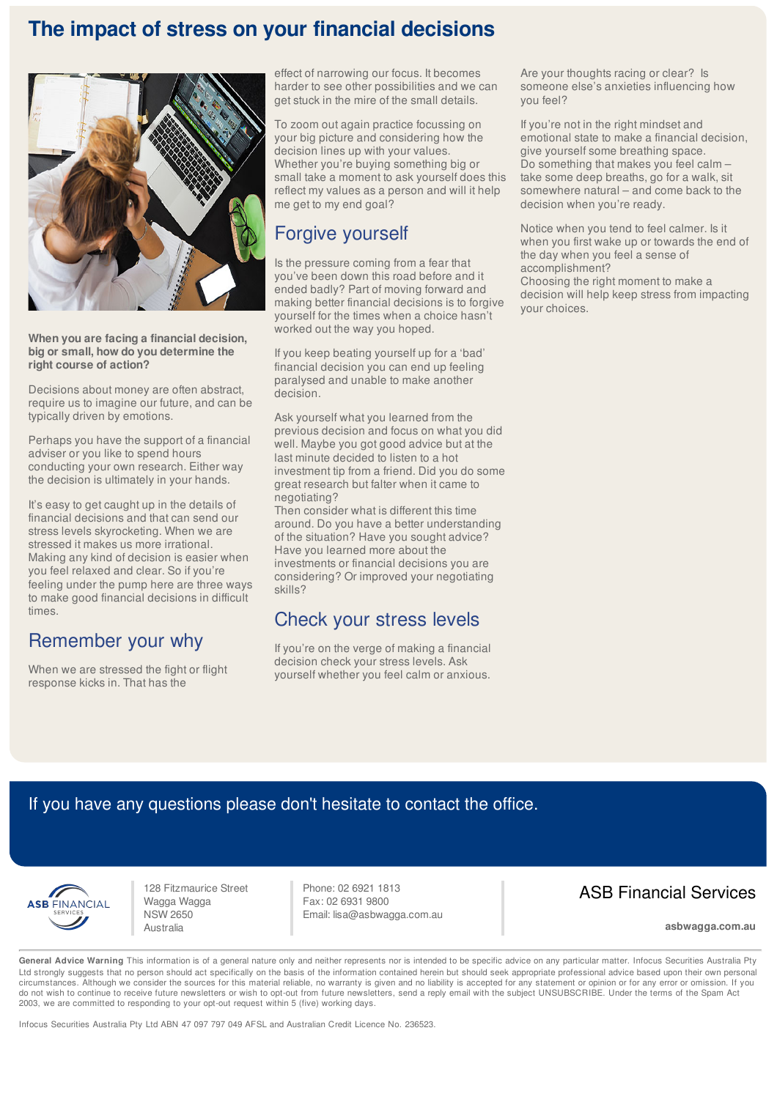# **The impact of stress on your financial decisions**



**When you are facing a financial decision, big or small, how do you determine the right course of action?** 

Decisions about money are often abstract, require us to imagine our future, and can be typically driven by emotions.

Perhaps you have the support of a financial adviser or you like to spend hours conducting your own research. Either way the decision is ultimately in your hands.

It's easy to get caught up in the details of financial decisions and that can send our stress levels skyrocketing. When we are stressed it makes us more irrational. Making any kind of decision is easier when you feel relaxed and clear. So if you're feeling under the pump here are three ways to make good financial decisions in difficult times.

## Remember your why

When we are stressed the fight or flight response kicks in. That has the

effect of narrowing our focus. It becomes harder to see other possibilities and we can get stuck in the mire of the small details.

To zoom out again practice focussing on your big picture and considering how the decision lines up with your values. Whether you're buying something big or small take a moment to ask yourself does this reflect my values as a person and will it help me get to my end goal?

## Forgive yourself

Is the pressure coming from a fear that you've been down this road before and it ended badly? Part of moving forward and making better financial decisions is to forgive yourself for the times when a choice hasn't worked out the way you hoped.

If you keep beating yourself up for a 'bad' financial decision you can end up feeling paralysed and unable to make another decision.

Ask yourself what you learned from the previous decision and focus on what you did well. Maybe you got good advice but at the last minute decided to listen to a hot investment tip from a friend. Did you do some great research but falter when it came to negotiating?

Then consider what is different this time around. Do you have a better understanding of the situation? Have you sought advice? Have you learned more about the investments or financial decisions you are considering? Or improved your negotiating skills?

#### Check your stress levels

If you're on the verge of making a financial decision check your stress levels. Ask yourself whether you feel calm or anxious. Are your thoughts racing or clear? Is someone else's anxieties influencing how you feel?

If you're not in the right mindset and emotional state to make a financial decision, give yourself some breathing space. Do something that makes you feel calm – take some deep breaths, go for a walk, sit somewhere natural – and come back to the decision when you're ready.

Notice when you tend to feel calmer. Is it when you first wake up or towards the end of the day when you feel a sense of accomplishment?

Choosing the right moment to make a decision will help keep stress from impacting your choices.

## If you have any questions please don't hesitate to contact the office.



128 Fitzmaurice Street Wagga Wagga NSW 2650 Australia

Phone: 02 6921 1813 Fax: 02 6931 9800 Email: lisa@asbwagga.com.au

## ASB Financial Services

**asbwagga.com.au**

General Advice Warning This information is of a general nature only and neither represents nor is intended to be specific advice on any particular matter. Infocus Securities Australia Pty Ltd strongly suggests that no person should act specifically on the basis of the information contained herein but should seek appropriate professional advice based upon their own personal circumstances. Although we consider the sources for this material reliable, no warranty is given and no liability is accepted for any statement or opinion or for any error or omission. If you do not wish to continue to receive future newsletters or wish to opt-out from future newsletters, send a reply email with the subject UNSUBSCRIBE. Under the terms of the Spam Act 2003, we are committed to responding to your opt-out request within 5 (five) working days.